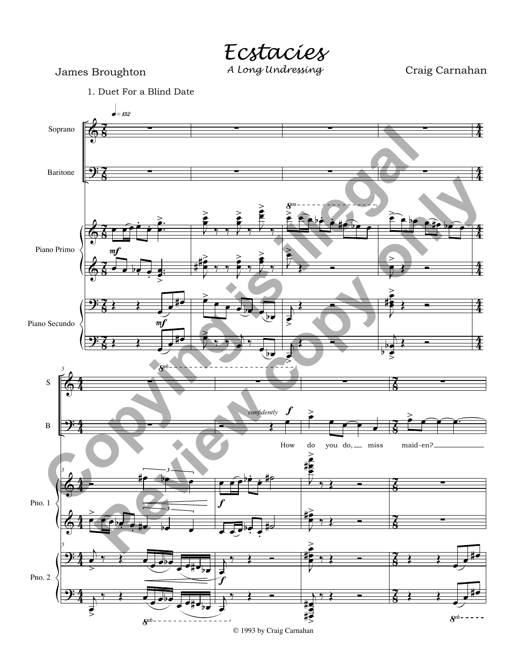*Ecstacies*

Craig Carnahan



1. Duet For a Blind Date

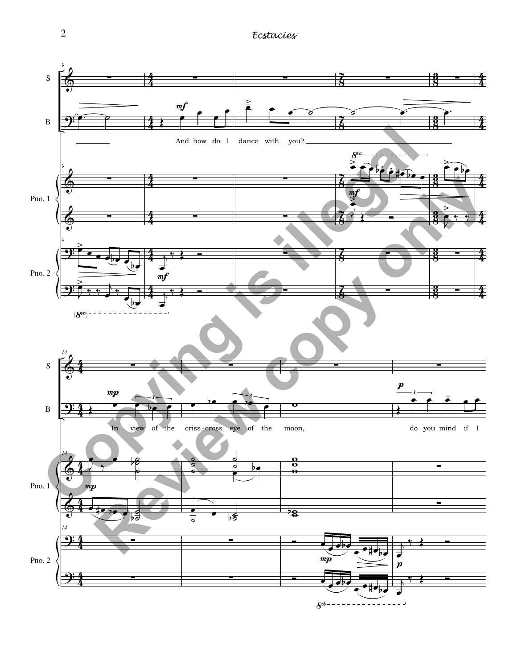2 *Ecstacies*



 $8^{vb---------$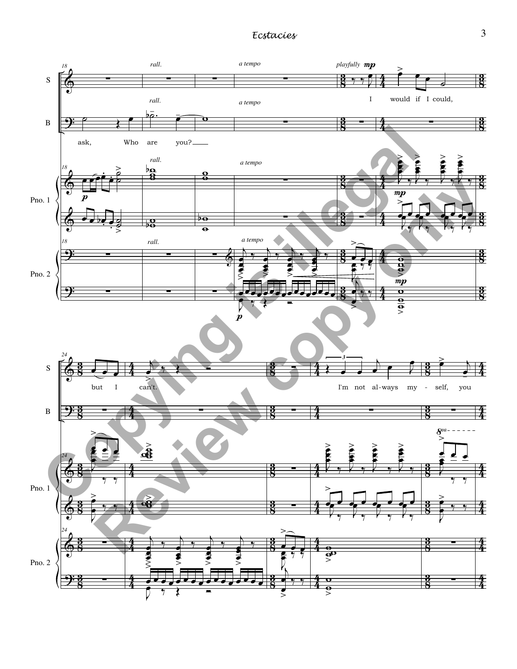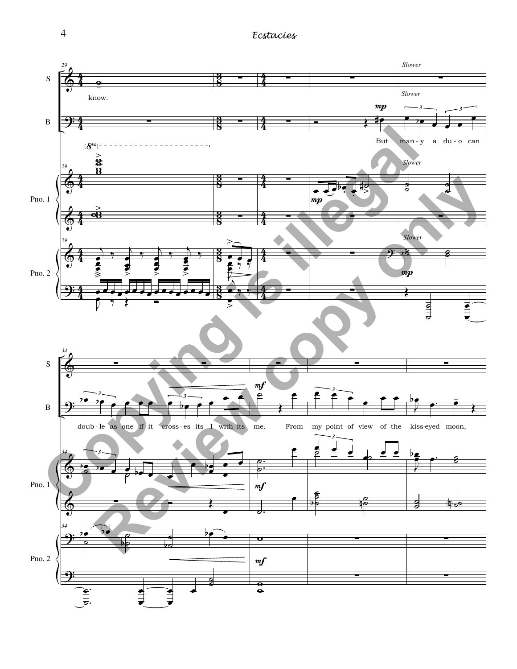